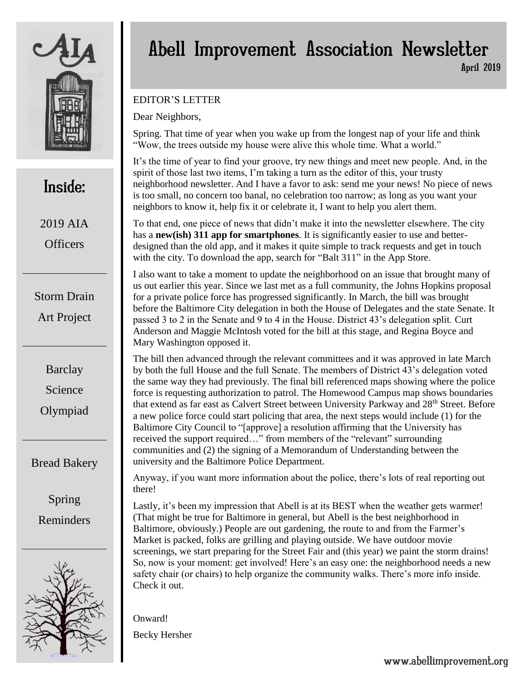

## Inside:

2019 AIA **Officers** 

Storm Drain Art Project

> **Barclay** Science Olympiad

## Bread Bakery

Spring Reminders



## Abell Improvement Association Newsletter April 2019

### EDITOR'S LETTER

Dear Neighbors,

Spring. That time of year when you wake up from the longest nap of your life and think "Wow, the trees outside my house were alive this whole time. What a world."

It's the time of year to find your groove, try new things and meet new people. And, in the spirit of those last two items, I'm taking a turn as the editor of this, your trusty neighborhood newsletter. And I have a favor to ask: send me your news! No piece of news is too small, no concern too banal, no celebration too narrow; as long as you want your neighbors to know it, help fix it or celebrate it, I want to help you alert them.

To that end, one piece of news that didn't make it into the newsletter elsewhere. The city has a **new(ish) 311 app for smartphones**. It is significantly easier to use and betterdesigned than the old app, and it makes it quite simple to track requests and get in touch with the city. To download the app, search for "Balt 311" in the App Store.

I also want to take a moment to update the neighborhood on an issue that brought many of us out earlier this year. Since we last met as a full community, the Johns Hopkins proposal for a private police force has progressed significantly. In March, the bill was brought before the Baltimore City delegation in both the House of Delegates and the state Senate. It passed 3 to 2 in the Senate and 9 to 4 in the House. District 43's delegation split. Curt Anderson and Maggie McIntosh voted for the bill at this stage, and Regina Boyce and Mary Washington opposed it.

The bill then advanced through the relevant committees and it was approved in late March by both the full House and the full Senate. The members of District 43's delegation voted the same way they had previously. The final bill referenced maps showing where the police force is requesting authorization to patrol. The Homewood Campus map shows boundaries that extend as far east as Calvert Street between University Parkway and 28<sup>th</sup> Street. Before a new police force could start policing that area, the next steps would include (1) for the Baltimore City Council to "[approve] a resolution affirming that the University has received the support required…" from members of the "relevant" surrounding communities and (2) the signing of a Memorandum of Understanding between the university and the Baltimore Police Department.

Anyway, if you want more information about the police, there's lots of real reporting out there!

Lastly, it's been my impression that Abell is at its BEST when the weather gets warmer! (That might be true for Baltimore in general, but Abell is the best neighborhood in Baltimore, obviously.) People are out gardening, the route to and from the Farmer's Market is packed, folks are grilling and playing outside. We have outdoor movie screenings, we start preparing for the Street Fair and (this year) we paint the storm drains! So, now is your moment: get involved! Here's an easy one: the neighborhood needs a new safety chair (or chairs) to help organize the community walks. There's more info inside. Check it out.

Onward!

Becky Hersher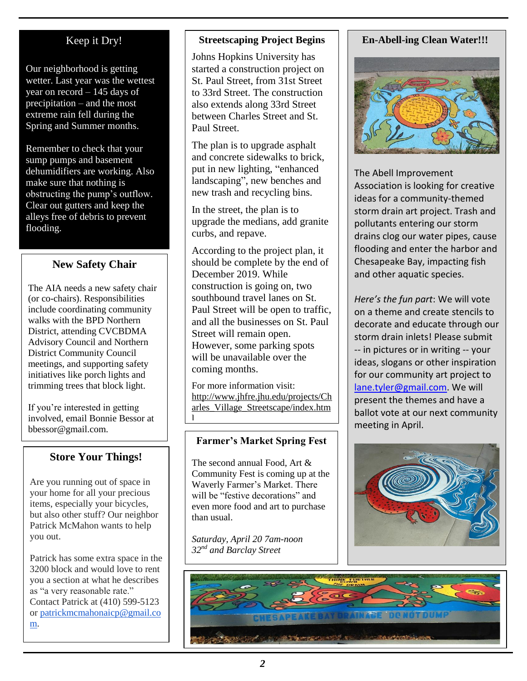## Keep it Dry!

Our neighborhood is getting wetter. Last year was the wettest year on record – 145 days of precipitation – and the most extreme rain fell during the Spring and Summer months.

Remember to check that your sump pumps and basement dehumidifiers are working. Also make sure that nothing is obstructing the pump's outflow. Clear out gutters and keep the alleys free of debris to prevent flooding.

### **New Safety Chair**

The AIA needs a new safety chair (or co-chairs). Responsibilities include coordinating community walks with the BPD Northern District, attending CVCBDMA Advisory Council and Northern District Community Council meetings, and supporting safety initiatives like porch lights and trimming trees that block light.

If you're interested in getting involved, email Bonnie Bessor at bbessor@gmail.com.

### **Store Your Things!**

Are you running out of space in your home for all your precious items, especially your bicycles, but also other stuff? Our neighbor Patrick McMahon wants to help you out.

Patrick has some extra space in the 3200 block and would love to rent you a section at what he describes as "a very reasonable rate." Contact Patrick at (410) 599-5123 or [patrickmcmahonaicp@gmail.co](mailto:patrickmcmahonaicp@gmail.com) [m.](mailto:patrickmcmahonaicp@gmail.com)

#### **Streetscaping Project Begins**

Johns Hopkins University has started a construction project on St. Paul Street, from 31st Street to 33rd Street. The construction also extends along 33rd Street between Charles Street and St. Paul Street.

The plan is to upgrade asphalt and concrete sidewalks to brick, put in new lighting, "enhanced landscaping", new benches and new trash and recycling bins.

In the street, the plan is to upgrade the medians, add granite curbs, and repave.

According to the project plan, it should be complete by the end of December 2019. While construction is going on, two southbound travel lanes on St. Paul Street will be open to traffic, and all the businesses on St. Paul Street will remain open. However, some parking spots will be unavailable over the coming months.

For more information visit: http://www.jhfre.jhu.edu/projects/Ch arles\_Village\_Streetscape/index.htm l

#### **Farmer's Market Spring Fest**

The second annual Food, Art & Community Fest is coming up at the Waverly Farmer's Market. There will be "festive decorations" and even more food and art to purchase than usual.

*Saturday, April 20 7am-noon 32nd and Barclay Street*

#### **En-Abell-ing Clean Water!!!**



The Abell Improvement Association is looking for creative ideas for a community-themed storm drain art project. Trash and pollutants entering our storm drains clog our water pipes, cause flooding and enter the harbor and Chesapeake Bay, impacting fish and other aquatic species.

*Here's the fun part*: We will vote on a theme and create stencils to decorate and educate through our storm drain inlets! Please submit -- in pictures or in writing -- your ideas, slogans or other inspiration for our community art project to [lane.tyler@gmail.com.](mailto:lane.tyler@gmail.com) We will present the themes and have a ballot vote at our next community meeting in April.



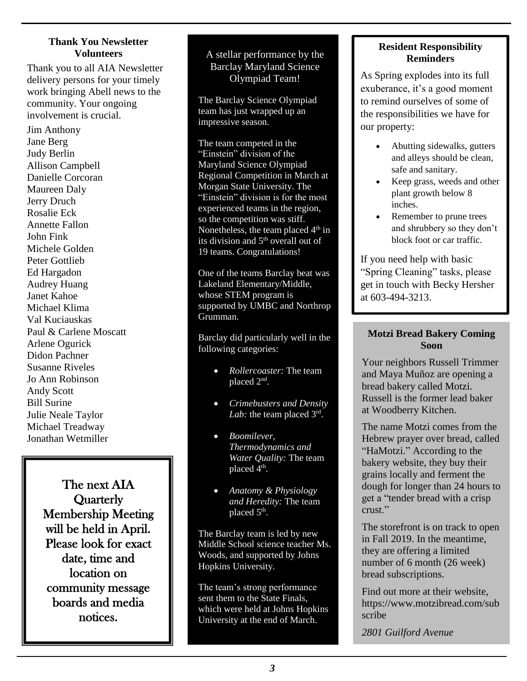#### **Thank You Newsletter Volunteers**

Thank you to all AIA Newsletter delivery persons for your timely work bringing Abell news to the community. Your ongoing involvement is crucial.

Jim Anthony Jane Berg Judy Berlin Allison Campbell Danielle Corcoran Maureen Daly Jerry Druch Rosalie Eck Annette Fallon John Fink Michele Golden Peter Gottlieb Ed Hargadon Audrey Huang Janet Kahoe Michael Klima Val Kuciauskas Paul & Carlene Moscatt Arlene Ogurick Didon Pachner Susanne Riveles Jo Ann Robinson Andy Scott Bill Surine Julie Neale Taylor Michael Treadway Jonathan Wetmiller

> The next AIA **Quarterly** Membership Meeting will be held in April. Please look for exact date, time and location on community message boards and media notices.

#### A stellar performance by the Barclay Maryland Science Olympiad Team!

The Barclay Science Olympiad team has just wrapped up an impressive season.

The team competed in the "Einstein" division of the Maryland Science Olympiad Regional Competition in March at Morgan State University. The "Einstein" division is for the most experienced teams in the region, so the competition was stiff. Nonetheless, the team placed  $4<sup>th</sup>$  in its division and  $5<sup>th</sup>$  overall out of 19 teams. Congratulations!

One of the teams Barclay beat was Lakeland Elementary/Middle, whose STEM program is supported by UMBC and Northrop Grumman.

Barclay did particularly well in the following categories:

- *Rollercoaster:* The team placed 2<sup>nd</sup>.
- *Crimebusters and Density*  Lab: the team placed 3<sup>rd</sup>.
- *Boomilever, Thermodynamics and Water Quality:* The team placed 4<sup>th</sup>.
- *Anatomy & Physiology and Heredity:* The team placed 5<sup>th</sup>.

The Barclay team is led by new Middle School science teacher Ms. Woods, and supported by Johns Hopkins University.

The team's strong performance sent them to the State Finals, which were held at Johns Hopkins University at the end of March.

#### **Resident Responsibility Reminders**

As Spring explodes into its full exuberance, it's a good moment to remind ourselves of some of the responsibilities we have for our property:

- Abutting sidewalks, gutters and alleys should be clean, safe and sanitary.
- Keep grass, weeds and other plant growth below 8 inches.
- Remember to prune trees and shrubbery so they don't block foot or car traffic.

If you need help with basic "Spring Cleaning" tasks, please get in touch with Becky Hersher at 603-494-3213.

#### **Motzi Bread Bakery Coming Soon**

Your neighbors Russell Trimmer and Maya Muñoz are opening a bread bakery called Motzi. Russell is the former lead baker at Woodberry Kitchen.

The name Motzi comes from the Hebrew prayer over bread, called "HaMotzi." According to the bakery website, they buy their grains locally and ferment the dough for longer than 24 hours to get a "tender bread with a crisp crust."

The storefront is on track to open in Fall 2019. In the meantime, they are offering a limited number of 6 month (26 week) bread subscriptions.

Find out more at their website, https://www.motzibread.com/sub scribe

*2801 Guilford Avenue*